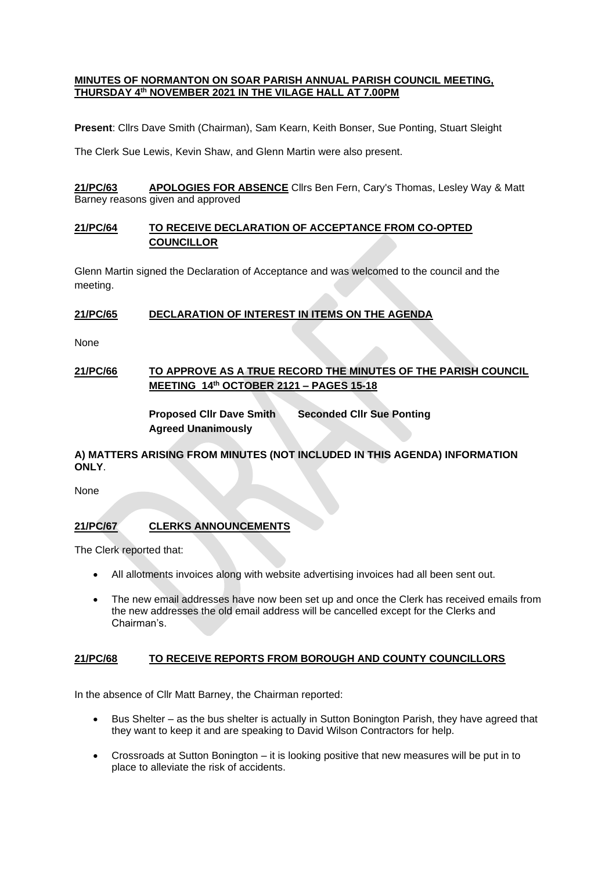#### **MINUTES OF NORMANTON ON SOAR PARISH ANNUAL PARISH COUNCIL MEETING, THURSDAY 4th NOVEMBER 2021 IN THE VILAGE HALL AT 7.00PM**

**Present**: Cllrs Dave Smith (Chairman), Sam Kearn, Keith Bonser, Sue Ponting, Stuart Sleight

The Clerk Sue Lewis, Kevin Shaw, and Glenn Martin were also present.

**21/PC/63 APOLOGIES FOR ABSENCE** Cllrs Ben Fern, Cary's Thomas, Lesley Way & Matt Barney reasons given and approved

## **21/PC/64 TO RECEIVE DECLARATION OF ACCEPTANCE FROM CO-OPTED COUNCILLOR**

Glenn Martin signed the Declaration of Acceptance and was welcomed to the council and the meeting.

### **21/PC/65 DECLARATION OF INTEREST IN ITEMS ON THE AGENDA**

None

## **21/PC/66 TO APPROVE AS A TRUE RECORD THE MINUTES OF THE PARISH COUNCIL MEETING 14th OCTOBER 2121 – PAGES 15-18**

**Proposed Cllr Dave Smith Seconded Cllr Sue Ponting Agreed Unanimously**

# **A) MATTERS ARISING FROM MINUTES (NOT INCLUDED IN THIS AGENDA) INFORMATION ONLY**.

None

# **21/PC/67 CLERKS ANNOUNCEMENTS**

The Clerk reported that:

- All allotments invoices along with website advertising invoices had all been sent out.
- The new email addresses have now been set up and once the Clerk has received emails from the new addresses the old email address will be cancelled except for the Clerks and Chairman's.

# **21/PC/68 TO RECEIVE REPORTS FROM BOROUGH AND COUNTY COUNCILLORS**

In the absence of Cllr Matt Barney, the Chairman reported:

- Bus Shelter as the bus shelter is actually in Sutton Bonington Parish, they have agreed that they want to keep it and are speaking to David Wilson Contractors for help.
- Crossroads at Sutton Bonington it is looking positive that new measures will be put in to place to alleviate the risk of accidents.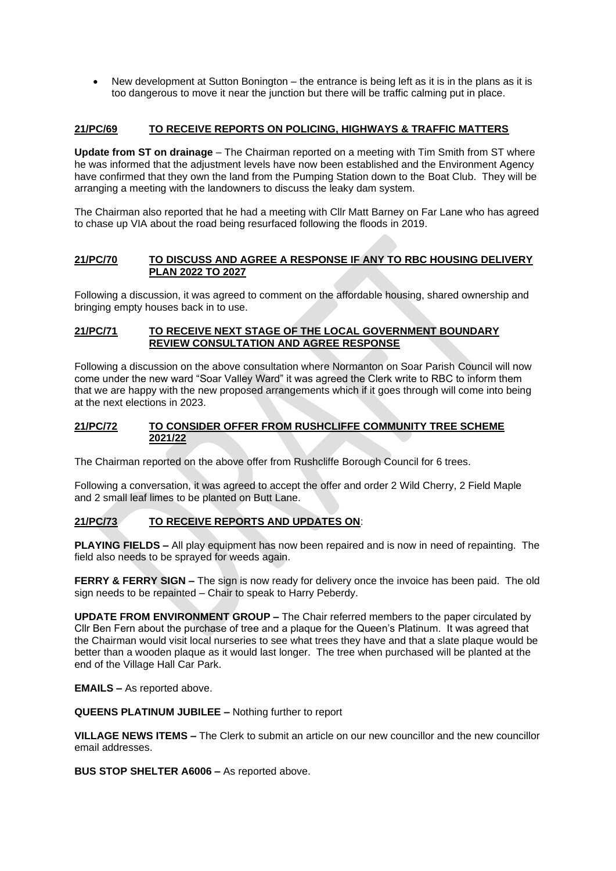• New development at Sutton Bonington – the entrance is being left as it is in the plans as it is too dangerous to move it near the junction but there will be traffic calming put in place.

## **21/PC/69 TO RECEIVE REPORTS ON POLICING, HIGHWAYS & TRAFFIC MATTERS**

**Update from ST on drainage** – The Chairman reported on a meeting with Tim Smith from ST where he was informed that the adjustment levels have now been established and the Environment Agency have confirmed that they own the land from the Pumping Station down to the Boat Club. They will be arranging a meeting with the landowners to discuss the leaky dam system.

The Chairman also reported that he had a meeting with Cllr Matt Barney on Far Lane who has agreed to chase up VIA about the road being resurfaced following the floods in 2019.

### **21/PC/70 TO DISCUSS AND AGREE A RESPONSE IF ANY TO RBC HOUSING DELIVERY PLAN 2022 TO 2027**

Following a discussion, it was agreed to comment on the affordable housing, shared ownership and bringing empty houses back in to use.

#### **21/PC/71 TO RECEIVE NEXT STAGE OF THE LOCAL GOVERNMENT BOUNDARY REVIEW CONSULTATION AND AGREE RESPONSE**

Following a discussion on the above consultation where Normanton on Soar Parish Council will now come under the new ward "Soar Valley Ward" it was agreed the Clerk write to RBC to inform them that we are happy with the new proposed arrangements which if it goes through will come into being at the next elections in 2023.

### **21/PC/72 TO CONSIDER OFFER FROM RUSHCLIFFE COMMUNITY TREE SCHEME 2021/22**

The Chairman reported on the above offer from Rushcliffe Borough Council for 6 trees.

Following a conversation, it was agreed to accept the offer and order 2 Wild Cherry, 2 Field Maple and 2 small leaf limes to be planted on Butt Lane.

# **21/PC/73 TO RECEIVE REPORTS AND UPDATES ON**:

**PLAYING FIELDS –** All play equipment has now been repaired and is now in need of repainting. The field also needs to be sprayed for weeds again.

**FERRY & FERRY SIGN –** The sign is now ready for delivery once the invoice has been paid. The old sign needs to be repainted – Chair to speak to Harry Peberdy.

**UPDATE FROM ENVIRONMENT GROUP –** The Chair referred members to the paper circulated by Cllr Ben Fern about the purchase of tree and a plaque for the Queen's Platinum. It was agreed that the Chairman would visit local nurseries to see what trees they have and that a slate plaque would be better than a wooden plaque as it would last longer. The tree when purchased will be planted at the end of the Village Hall Car Park.

**EMAILS –** As reported above.

**QUEENS PLATINUM JUBILEE –** Nothing further to report

**VILLAGE NEWS ITEMS –** The Clerk to submit an article on our new councillor and the new councillor email addresses.

**BUS STOP SHELTER A6006 –** As reported above.